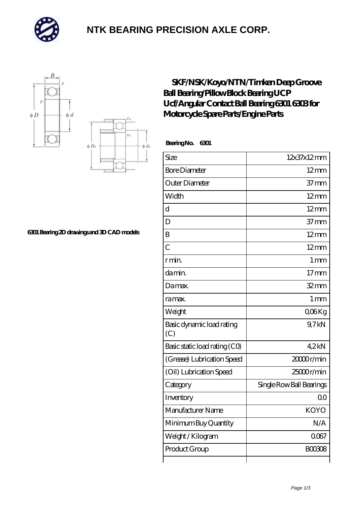

### **[NTK BEARING PRECISION AXLE CORP.](https://m.simonshaus.com)**



#### **[6301 Bearing 2D drawings and 3D CAD models](https://m.simonshaus.com/pic-65282665.html)**

### **[SKF/NSK/Koyo/NTN/Timken Deep Groove](https://m.simonshaus.com/ar-65282665-skf-nsk-koyo-ntn-timken-deep-groove-ball-bearing-pillow-block-bearing-ucp-ucf-angular-contact-ball-bearing-6301-6303-for-motorcycle-spare-parts-engine-parts.html) [Ball Bearing/Pillow Block Bearing UCP](https://m.simonshaus.com/ar-65282665-skf-nsk-koyo-ntn-timken-deep-groove-ball-bearing-pillow-block-bearing-ucp-ucf-angular-contact-ball-bearing-6301-6303-for-motorcycle-spare-parts-engine-parts.html) [Ucf/Angular Contact Ball Bearing 6301 6303 for](https://m.simonshaus.com/ar-65282665-skf-nsk-koyo-ntn-timken-deep-groove-ball-bearing-pillow-block-bearing-ucp-ucf-angular-contact-ball-bearing-6301-6303-for-motorcycle-spare-parts-engine-parts.html) [Motorcycle Spare Parts/Engine Parts](https://m.simonshaus.com/ar-65282665-skf-nsk-koyo-ntn-timken-deep-groove-ball-bearing-pillow-block-bearing-ucp-ucf-angular-contact-ball-bearing-6301-6303-for-motorcycle-spare-parts-engine-parts.html)**

 **Bearing No. 6301**

b di

| Size                             | 12x37x12mm               |
|----------------------------------|--------------------------|
| <b>Bore Diameter</b>             | $12 \text{mm}$           |
| Outer Diameter                   | 37 <sub>mm</sub>         |
| Width                            | $12 \text{mm}$           |
| $\mathbf d$                      | $12 \text{mm}$           |
| D                                | 37 <sub>mm</sub>         |
| B                                | $12 \text{mm}$           |
| $\overline{C}$                   | $12 \text{mm}$           |
| r min.                           | 1 <sub>mm</sub>          |
| da min.                          | 17 <sub>mm</sub>         |
| Damax.                           | $32$ mm                  |
| ra max.                          | 1 <sub>mm</sub>          |
| Weight                           | QO <sub>6</sub> Kg       |
| Basic dynamic load rating<br>(C) | 9,7kN                    |
| Basic static load rating (CO)    | 42kN                     |
| (Grease) Lubrication Speed       | 2000r/min                |
| (Oil) Lubrication Speed          | $25000$ r/min            |
| Category                         | Single Row Ball Bearings |
| Inventory                        | 0 <sup>0</sup>           |
| Manufacturer Name                | <b>KOYO</b>              |
| Minimum Buy Quantity             | N/A                      |
| Weight / Kilogram                | 0067                     |
| Product Group                    | <b>BOO3O8</b>            |
|                                  |                          |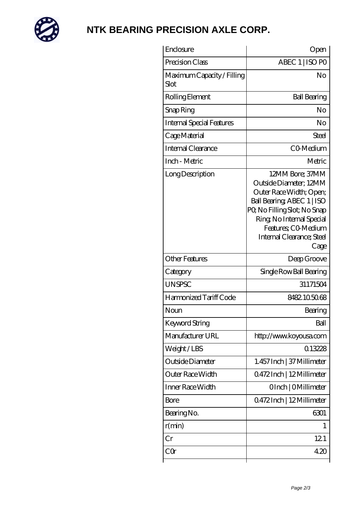

# **[NTK BEARING PRECISION AXLE CORP.](https://m.simonshaus.com)**

| Enclosure                          | Open                                                                                                                                                                                                                      |
|------------------------------------|---------------------------------------------------------------------------------------------------------------------------------------------------------------------------------------------------------------------------|
| Precision Class                    | ABEC 1   ISO PO                                                                                                                                                                                                           |
| Maximum Capacity / Filling<br>Slot | No                                                                                                                                                                                                                        |
| Rolling Element                    | <b>Ball Bearing</b>                                                                                                                                                                                                       |
| Snap Ring                          | No                                                                                                                                                                                                                        |
| <b>Internal Special Features</b>   | No                                                                                                                                                                                                                        |
| Cage Material                      | Steel                                                                                                                                                                                                                     |
| <b>Internal Clearance</b>          | CO-Medium                                                                                                                                                                                                                 |
| Inch - Metric                      | Metric                                                                                                                                                                                                                    |
| Long Description                   | 12MM Bore; 37MM<br>Outside Diameter; 12MM<br>Outer Race Width; Open;<br>Ball Bearing ABEC 1   ISO<br>PQ No Filling Slot; No Snap<br>Ring, No Internal Special<br>Features; CO-Medium<br>Internal Clearance; Steel<br>Cage |
| <b>Other Features</b>              | Deep Groove                                                                                                                                                                                                               |
| Category                           | Single Row Ball Bearing                                                                                                                                                                                                   |
| <b>UNSPSC</b>                      | 31171504                                                                                                                                                                                                                  |
| Harmonized Tariff Code             | 8482105068                                                                                                                                                                                                                |
| Noun                               | Bearing                                                                                                                                                                                                                   |
| Keyword String                     | Ball                                                                                                                                                                                                                      |
| Manufacturer URL                   | http://www.koyousa.com                                                                                                                                                                                                    |
| Weight/LBS                         | 0.13228                                                                                                                                                                                                                   |
| Outside Diameter                   | 1.457 Inch   37 Millimeter                                                                                                                                                                                                |
| Outer Race Width                   | Q472Inch   12Millimeter                                                                                                                                                                                                   |
| Inner Race Width                   | OInch   OMillimeter                                                                                                                                                                                                       |
| Bore                               | 0472Inch   12Millimeter                                                                                                                                                                                                   |
| Bearing No.                        | 6301                                                                                                                                                                                                                      |
| r(min)                             | 1                                                                                                                                                                                                                         |
| $\operatorname{Cr}$                | 121                                                                                                                                                                                                                       |
| $C\Omega$                          | 420                                                                                                                                                                                                                       |
|                                    |                                                                                                                                                                                                                           |